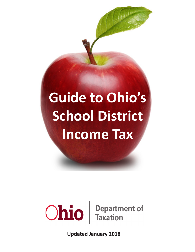# **Guide to Ohio's School District Income Tax**



**Updated January 2018**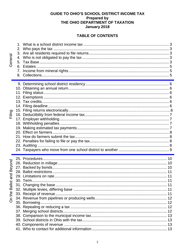# GUIDE TO OHIO'S SCHOOL DISTRICT INCOME TAX Prepared by<br>Prepared by<br>THE OHIO DEPARTMENT OF TAXATION January 2018

# **TABLE OF CONTENTS**

| General                                                  | 5.<br>7. |  |
|----------------------------------------------------------|----------|--|
| Filing                                                   |          |  |
| eyond<br>മ്<br>and<br>$\overline{5}$<br>Bal<br>the<br>ဝ် |          |  |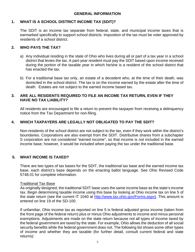# **1. WHAT IS A SCHOOL DISTRICT INCOME TAX (SDIT)?**

The SDIT is an income tax separate from federal, state, and municipal income taxes that is earmarked specifically to support school districts. Imposition of the tax must be voter approved by residents of a school district.

# **2. WHO PAYS THE TAX?**

- a) Any individual residing in the state of Ohio who lives during all or part of a tax year in a school district that levies the tax. A part-year resident must pay the SDIT based upon income received during the portion of the taxable year in which he/she is a resident of the school district that has enacted the tax.
- b) For a traditional base tax only, an estate of a decedent who, at the time of their death, was domiciled in the school district. The tax is on the income earned by the estate after the time of death. Estates are not subject to the earned income based tax.

#### **3. ARE ALL RESIDENTS REQUIRED TO FILE AN INCOME TAX RETURN, EVEN IF THEY HAVE NO TAX LIABILITY?**

All residents are encouraged to file a return to prevent the taxpayer from receiving a delinquency notice from the Tax Department for non-filing.

# **4. WHICH TAXPAYERS ARE LEGALLY NOT OBLIGATED TO PAY THE SDIT?**

Non-residents of the school district are not subject to the tax, even if they work within the district's boundaries. Corporations are also exempt from the SDIT. Distributive shares from a subchapter S corporation are not considered "earned income", so that income is not included in the earned income base; however, it would be included when paying the tax under the traditional base.

# **5. WHAT INCOME IS TAXED?**

There are two types of tax bases for the SDIT, the traditional tax base and the earned income tax base, each district's base depends on the enacting ballot language. See Ohio Revised Code 5748.01 for complete information.

#### Traditional Tax Base

As originally designed, the traditional SDIT base uses the same income base as the state's income tax. Begin determining taxable income using this base by looking at Ohio income tax on line 5 of the state return (see the current IT 1040 at [http://www.tax.ohio.gov/Forms.aspx\).](http://www.tax.ohio.gov/Forms.aspx).This) This amount is entered on line 19 of the SD-100.

If unfamiliar, Ohio income tax as reported on line 5 is federal adjusted gross income (taken from the front page of the federal return) plus or minus Ohio adjustments to income and minus personal exemptions. Adjustments are made on the state return because not all types of income taxed by the federal government are taxed by the state. For example, Ohio allows the deduction of all social security benefits while the federal government does not. The following list shows some other types of income and whether they are taxable (for further detail, consult current federal and state returns):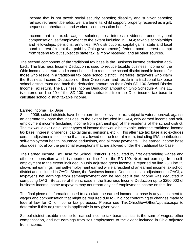Income that is not taxed: social security benefits; disability and survivor benefits; railroad retirement benefits; welfare benefits; child support; property received as a gift, bequest or inheritance; and workers' compensation benefits.

Income that is taxed: wages; salaries; tips; interest; dividends; unemployment compensation; self-employment to the extent included in OAGI; taxable scholarships and fellowships; pensions; annuities; IRA distributions; capital gains; state and local bond interest (except that paid by Ohio governments); federal bond interest exempt from federal tax but subject to state tax; alimony received; and all other sources.

The second component of the traditional tax base is the Business income deduction addback. The Business Income Deduction is used to reduce taxable business income on the Ohio income tax return and cannot be used to reduce the school district taxable income for those who reside in a traditional tax base school district. Therefore, taxpayers who claim the Business Income Deduction on their Ohio return and reside in a traditional tax base school district must add back the deduction amount on their Ohio SD 100 School District Income Tax return. The Business Income Deduction amount on Ohio Schedule A, line 11, is entered on line 20 of the SD-100 and subtracted from the Ohio income tax base to calculate school district taxable income.

#### Earned Income Tax Base

Since 2006, school districts have been permitted to levy the tax, subject to voter approval, against an alternate tax base that includes, to the extent included in OAGI, only earned income and selfemployment income (including income from partnerships) of the residents of the school district. The tax would exclude all other types of income that would be taxable under the traditional income tax base (interest, dividends, capital gains, pensions, etc.). This alternate tax base also excludes certain adjustments to income that are allowed on the federal return, including IRA contributions, self-employment health insurance deductions, and alimony payments. The earned income base also does not allow the personal exemptions that are allowed under the traditional tax base.

The Earned Income Tax Base for School Districts is calculated by first determining wages and other compensation which is reported on line 24 of the SD-100. Next, net earnings from selfemployment to the extent included in Ohio adjusted gross income is reported on line 25. Line 25 shows net earnings from self-employment earned while a resident of an earned income tax school district and included in OAGI. Since, the Business Income Deduction is an adjustment to OAGI, a taxpayer's net earnings from self-employment can be reduced if the income was deducted in computing OAGI. Because of the increase in the Business Income Deduction up to \$250,000 of business income, some taxpayers may not report any self-employment income on this line.

The final piece of information used to calculate the earned income tax base is any adjustment to wages and compensation that might be required due to Ohio not conforming to changes made to federal law for Ohio income tax purposes. Please see Tax.Ohio.Gov/Other/Update.aspx to determine if this adjustment is applicable in any given year.

School district taxable income for earned income tax base districts is the sum of wages, other compensation, and net earnings from self-employment to the extent included in Ohio adjusted from income.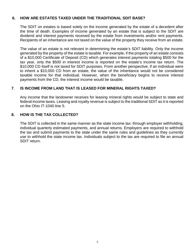# **6. HOW ARE ESTATES TAXED UNDER THE TRADITIONAL SDIT BASE?**

The SDIT on estates is based solely on the income generated by the estate of a decedent after the time of death. Examples of income generated by an estate that is subject to the SDIT are dividend and interest payments received by the estate from investments and/or rent payments. Recipients of an inheritance are not taxed on the value of the property they receive from an estate.

The value of an estate is not relevant in determining the estate's SDIT liability. Only the income generated by the property of the estate is taxable. For example, if the property of an estate consists of a \$10,000 Certificate of Deposit (CD) which generates interest payments totaling \$500 for the tax year, only the \$500 in interest income is reported on the estate's income tax return. The \$10,000 CD itself is not taxed for SDIT purposes. From another perspective, if an individual were to inherit a \$10,000 CD from an estate, the value of the inheritance would not be considered taxable income for that individual. However, when the beneficiary begins to receive interest payments from the CD, the interest income would be taxable.

# **7**. **IS INCOME FROM LAND THAT IS LEASED FOR MINERAL RIGHTS TAXED?**

Any income that the landowner receives for leasing mineral rights would be subject to state and federal income taxes. Leasing and royalty revenue is subject to the traditional SDIT as it is reported on the Ohio IT-1040 line 5.

#### **8. HOW IS THE TAX COLLECTED?**

The SDIT is collected in the same manner as the state income tax: through employer withholding, individual quarterly estimated payments, and annual returns. Employers are required to withhold the tax and submit payments to the state under the same rules and guidelines as they currently use to withhold the state income tax. Individuals subject to the tax are required to file an annual SDIT return.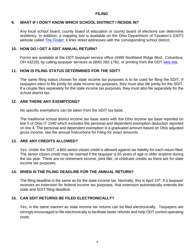#### **FILING**

#### **9. WHAT IF I DON'T KNOW WHICH SCHOOL DISTRICT I RESIDE IN?**

Any local school board, county board of education or county board of elections can determine residency. In addition, a mapping tool is available on the Ohio Department of Taxation's (ODT) website called [The Finder;](https://thefinder.tax.ohio.gov/StreamlineSalesTaxWeb/default_schooldistrict.aspx) it links street addresses with the corresponding school district.

#### **10. HOW DO I GET A SDIT ANNUAL RETURN?**

Forms are available at the ODT taxpayer service office (4485 Northland Ridge Blvd., Columbus, OH 43229), by calling taxpayer services at (800) 282-1782, or printing from the ODT [web](http://www.tax.ohio.gov/Forms.aspx) site.

#### **11. HOW IS FILING STATUS DETERMINED FOR THE SDIT?**

The same filing status chosen for state income tax purposes is to be used for filing the SDIT. If taxpayers elect to file jointly for state income tax purposes, they must also file jointly for the SDIT. If a couple files separately for the state income tax purposes, they must also file separately for the school district tax.

#### **12. ARE THERE ANY EXEMPTIONS?**

No specific exemptions can be taken from the SDIT tax base.

The traditional school district income tax base starts with the Ohio income tax base reported on line 5 of Ohio IT 1040 which excludes the personal and dependent exemption deduction reported on line 4. The personal and dependent exemption is a graduated amount based on Ohio adjusted gross income, see the annual Instructions for Filing for exact amounts.

#### **13. ARE ANY CREDITS ALLOWED?**

Yes. Under the SDIT, a \$50 senior citizen credit is allowed against tax liability for each return filed. The senior citizen credit may be claimed if the taxpayer is 65 years of age or older anytime during the tax year. There are no retirement income, joint filer, or childcare credits as there are for state income tax purposes.

#### **14. WHEN IS THE FILING DEADLINE FOR THE ANNUAL RETURN?**

The filing deadline is the same as for the state income tax. Normally, this is April 15<sup>th</sup>. If a taxpayer receives an extension for federal income tax purposes, that extension automatically extends the state and SDIT filing deadline.

# **15. CAN SDIT RETURNS BE FILED ELECTRONICALLY?**

Yes, in the same manner as state income tax returns can be filed electronically. Taxpayers are strongly encouraged to file electronically to facilitate faster refunds and help ODT control operating costs.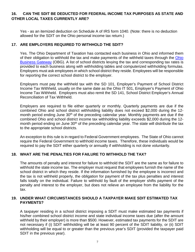# **16. CAN THE SDIT BE DEDUCTED FOR FEDERAL INCOME TAX PURPOSES AS STATE AND OTHER LOCAL TAXES CURRENTLY ARE?**

Yes - as an itemized deduction on Schedule A of IRS form 1040. (Note: there is no deduction allowed for the SDIT on the Ohio personal income tax return.)

#### **17. ARE EMPLOYERS REQUIRED TO WITHHOLD THE SDIT?**

Yes. The Ohio Department of Taxation has contacted each business in Ohio and informed them of their obligation to withhold the tax and make payments of the withheld taxes through the Ohio Business Gateway (OBG). A list of school districts levying the tax and corresponding tax rates is provided to each business along with withholding tables and computerized withholding formulas. Employers must ask employees in which school district they reside. Employees will be responsible for reporting the correct school district to the employer.

Employers must pay the withheld tax with the SD 101, Employer's Payment of School District Income Tax Withheld, usually on the same date as the Ohio IT 501, Employer's Payment of Ohio Income Tax Withheld. Employers must also remit the SD 141, School District Employer's Annual Reconciliation of Tax Withheld.

Employers are required to file either quarterly or monthly. Quarterly payments are due if the combined Ohio and school district withholding liability does not exceed \$2,000 during the 12 month period ending June 30<sup>th</sup> of the preceding calendar year. Monthly payments are due if the combined Ohio and school district income tax withholding liability exceeds \$2,000 during the 12 month period ending on June 30<sup>th</sup> of the preceding calendar year. The state will distribute the tax to the appropriate school districts.

An exception to this rule is in regard to Federal Government employees. The State of Ohio cannot require the Federal Government to withhold income taxes. Therefore, these individuals would be required to pay the SDIT either quarterly or annually if withholding is not done voluntarily.

#### **18. WHAT ARE THE PENALTIES FOR FAILURE TO WITHHOLD THE TAX?**

The amounts of penalty and interest for failure to withhold the SDIT are the same as for failure to withhold the state income tax. The employer must request that employees furnish the name of the school district in which they reside. If the information furnished by the employee is incorrect and the tax is not withheld properly, the obligation for payment of the tax plus penalties and interest falls totally on the individual. Failure to withhold by fault of the employer shifts payment of the penalty and interest to the employer, but does not relieve an employee from the liability for the tax.

#### **19. UNDER WHAT CIRCUMSTANCES SHOULD A TAXPAYER MAKE SDIT ESTIMATED TAX PAYMENTS?**

A taxpayer residing in a school district imposing a SDIT must make estimated tax payments if his/her combined school district income and state individual income taxes due (after the amount withheld by their employer) is more than \$500. However, estimated tax payments for the SDIT are not necessary if (i) SDIT withholding will be at least 90 percent of the SDIT liability, or (ii) SDIT withholding will be equal to or greater than the previous year's SDIT (provided the taxpayer paid SDIT in the previous year).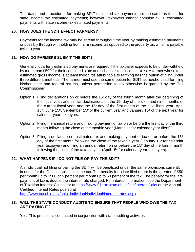The dates and procedures for making SDIT estimated tax payments are the same as those for state income tax estimated payments; however, taxpayers cannot combine SDIT estimated payments with state income tax estimated payments.

#### **20. HOW DOES THE SDIT EFFECT FARMERS?**

Payments for the income tax may be spread throughout the year by making estimated payments or possibly through withholding from farm income, as opposed to the property tax which is payable twice a year.

# **21. HOW DO FARMERS SUBMIT THE SDIT?**

Generally, quarterly estimated payments are required if the taxpayer expects to be under-withheld by more than \$500 for their combined state and school district income taxes. A farmer whose total estimated gross income is at least two-thirds attributable to farming has the option of filing under three different methods. The farmer must use the same option for SDIT as he/she used for filing his/her state and federal returns, unless permission to do otherwise is granted by the Tax Commissioner.

- Option 1 Filing declarations on or before the  $15<sup>th</sup>$  day of the fourth month after the beginning of the fiscal year, and similar declarations on the  $15<sup>th</sup>$  day of the sixth and ninth months of the current fiscal year, and the  $15<sup>th</sup>$  day of the first month of the next fiscal year: April  $15<sup>th</sup>$ , June 15<sup>th</sup>, September 15<sup>th</sup> of the current year and January 15<sup>th</sup> of the next year for calendar year taxpayers;
- Option 2 Filing the annual return and making payment of tax on or before the first day of the third month following the close of the taxable year (March 1<sup>st</sup> for calendar year filers);
- Option 3 Filing a declaration of estimated tax and making payment of tax on or before the 15<sup>th</sup> day of the first month following the close of the taxable year (January 15<sup>th</sup> for calendar year taxpayer) and filing an annual return on or before the  $15<sup>th</sup>$  day of the fourth month following the close of the taxable year (April  $15<sup>th</sup>$  for calendar year taxpayers).

#### **22. WHAT HAPPENS IF I DO NOT FILE OR PAY THE SDIT?**

An individual not filing or paying the SDIT will be penalized under the same provisions currently in effect for the Ohio individual income tax. The penalty for a late filed return is the greater of \$50 per month up to \$500 or 5 percent per month up to 50 percent of the tax. The penalty for the late payment of tax is double the interest rate charged. For interest information, see the Department of Taxation Interest Calculator at<https://www-01.tax.state.oh.us/intc/InterestCalc/> or the Annual Certified Interest Rates posted at

[http://www.tax.ohio.gov/ohio\\_individual/individual/interest\\_rates.aspx.](http://www.tax.ohio.gov/ohio_individual/individual/interest_rates.aspx)

# **23. WILL THE STATE CONDUCT AUDITS TO ENSURE THAT PEOPLE WHO OWE THE TAX ARE PAYING IT?**

Yes. This process is conducted in conjunction with state auditing activities.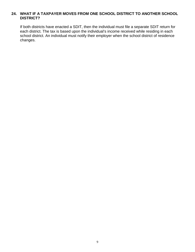# **24. WHAT IF A TAXPAYER MOVES FROM ONE SCHOOL DISTRICT TO ANOTHER SCHOOL DISTRICT?**

If both districts have enacted a SDIT, then the individual must file a separate SDIT return for each district. The tax is based upon the individual's income received while residing in each school district. An individual must notify their employer when the school district of residence changes.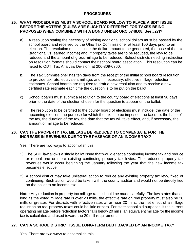# **PROCEDURES**

# **25. WHAT PROCEDURES MUST A SCHOOL BOARD FOLLOW TO PLACE A SDIT ISSUE BEFORE THE VOTERS (RULES ARE SLIGHTLY DIFFERENT FOR TAXES BEING PROPOSED WHEN COMBINED WITH A BOND UNDER ORC 5748.08. See #27)?**

- a) A resolution stating the necessity of raising additional school dollars must be passed by the school board and received by the Ohio Tax Commissioner at least 100 days prior to an election. The resolution must include the dollar amount to be generated, the base of the tax (traditional vs. earned income) and, if property taxes are to be reduced, the levy to be reduced and the amount of gross millage to be reduced. School districts needing instruction on resolution formats should contact their school board association. This resolution can be faxed to ODT, Tax Analysis Division, at 206-309-0360.
- b) The Tax Commissioner has ten days from the receipt of the initial school board resolution to provide tax rate, equivalent millage, and, if necessary, effective millage reduction estimates. School boards are required to draft a new resolution and to receive a new certified rate estimate each time the question is to be put on the ballot.
- c) School boards must submit a resolution to the county board of elections at least 90 days prior to the date of the election chosen for the question to appear on the ballot.
- d) The resolution to be certified to the county board of elections must include: the date of the upcoming election, the purpose for which the tax is to be imposed, the tax rate, the base of the tax, the duration of the tax, the date that the tax will take effect, and, if necessary, the amount of millage to be reduced.

#### **26. CAN THE PROPERTY TAX MILLAGE BE REDUCED TO COMPENSATE FOR THE INCREASE IN REVENUES DUE TO THE PASSAGE OF AN INCOME TAX?**

Yes. There are two ways to accomplish this:

- 1) The SDIT law allows a single ballot issue that would enact a continuing income tax and reduce or repeal one or more existing continuing property tax levies. The reduced property tax revenues would occur beginning the January following the year that the new income tax becomes effective.
- 2) A school district may take unilateral action to reduce any existing property tax levy, fixed or continuing. Such action would be taken with the county auditor and would not be directly tied on the ballot to an income tax.

**Note:** Any reduction in property tax millage rates should be made carefully. The law states that as long as the voted millage rate is over 20 mills, the effective rate on real property must also be 20 mills or greater. For districts with effective rates at or near 20 mills, the net effect of a millage reduction on real property taxes could be little or zero. For state school aid purposes, if the current operating millage before reduction factors falls below 20 mills, an equivalent millage for the income tax is calculated and used toward the 20 mill requirement.

# **27. CAN A SCHOOL DISTRICT ISSUE LONG-TERM DEBT BACKED BY AN INCOME TAX?**

Yes. There are two ways to accomplish this: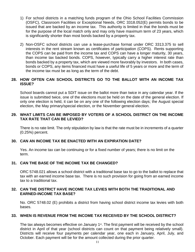- 1) For school districts in a matching funds program of the Ohio School Facilities Commission (OSFC), Classroom Facilities or Exceptional Needs, ORC 3318.052(E) permits bonds to be issued that are backed by an income tax. This authority is limited in that the bonds must be for the purpose of the local match only and may only have maximum term of 23 years, which is significantly shorter than most bonds backed by a property tax.
- 2) Non-OSFC school districts can use a lease-purchase format under ORC 3313.375 to sell interests in the rent stream known as certificates of participation (COPS). Rents supporting the COPS can be paid from the income tax and COPS can have a longer maturity, 30 years, than income tax backed bonds. COPS, however, typically carry a higher interest rate than bonds backed by a property tax, which are viewed more favorably by investors. In both cases, bonds or COPS, any items financed must have a useful life of 5 years or more and the term of the income tax must be as long as the term of the debt.

# **28. HOW OFTEN CAN SCHOOL DISTRICTS GO TO THE BALLOT WITH AN INCOME TAX ISSUE?**

School boards cannot put a SDIT issue on the ballot more than twice in any calendar year. If the issue is submitted twice, one of the elections must be held on the date of the general election. If only one election is held, it can be on any one of the following election days; the August special election, the May primary/special election, or the November general election.

#### **29. WHAT LIMITS CAN BE IMPOSED BY VOTERS OF A SCHOOL DISTRICT ON THE INCOME TAX RATE THAT CAN BE LEVIED?**

There is no rate limit. The only stipulation by law is that the rate must be in increments of a quarter (0.25%) percent.

#### **30. CAN AN INCOME TAX BE ENACTED WITH AN EXPIRATION DATE?**

Yes. An income tax can be continuing or for a fixed number of years; there is no limit on the term.

#### **31. CAN THE BASE OF THE INCOME TAX BE CHANGED?**

ORC 5748.021 allows a school district with a traditional base tax to go to the ballot to replace that tax with an earned income base tax. There is no such provision for going from an earned income tax to a traditional tax.

#### **32. CAN THE DISTRICT HAVE INCOME TAX LEVIES WITH BOTH THE TRADITIONAL AND EARNED-INCOME TAX BASE?**

No. ORC 5748.02 (E) prohibits a district from having school district income tax levies with both bases.

#### **33. WHEN IS REVENUE FROM THE INCOME TAX RECEIVED BY THE SCHOOL DISTRICT?**

The tax always becomes effective on January  $1<sup>st</sup>$ . The first payment will be received by the school district in April of that year (school districts can count on that payment being relatively small). Districts will receive four payments per calendar year, one each in January, April, July, and October. Each payment will be for the amount collected during the prior quarter.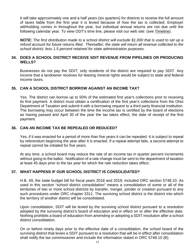It will take approximately one and a half years (six quarters) for districts to receive the full amount of taxes liable from the first year it is levied because of how the tax is collected. Employer withholding comes in throughout the year, but individual annual returns are not due until the following calendar year. To view ODT's time line, please visit our web site: (see [Timeline\)](http://www.tax.ohio.gov/portals/0/tax_analysis/tax_data_series/school_district_data/timeline.pdf).

*NOTE: The first distribution made to a school district will exclude \$1,000 that is used to set up a refund account for future returns filed. Thereafter, the state will return all revenue collected to the school district, less 1.5 percent retained for state administration purposes.*

#### **34. DOES A SCHOOL DISTRICT RECEIVE SDIT REVENUE FROM PIPELINES OR PRODUCING WELLS?**

Businesses do not pay the SDIT; only residents of the district are required to pay SDIT. Any income that a landowner receives for leasing mineral rights would be subject to state and federal income taxes.

# **35. CAN A SCHOOL DISTRICT BORROW AGAINST AN INCOME TAX?**

Yes. The district can borrow up to 50% of the estimated first year's collections prior to receiving its first payment. A district must obtain a certification of the first year's collections from the Ohio Department of Taxation and submit it with a borrowing request to a third party financial institution. The borrowing may occur between the time the income tax is certified by the board of elections as having passed and April 30 of the year the tax takes effect, the date of receipt of the first payment.

# **36. CAN AN INCOME TAX BE REPEALED OR REDUCED?**

Yes, if it was enacted for a period of more than five years it can be repealed. It is subject to repeal by referendum beginning the year after it is enacted. If a repeal attempt fails, a second attempt to repeal cannot be initiated for five years.

At any time, a school board may reduce the rate of an income tax in quarter percent increments without going to the ballot. Notification of a rate change must be sent to the department of taxation at least 45 days prior to the tax year for which the rate reduction takes effect.

# **37. WHAT HAPPENS IF OUR SCHOOL DISTRICT IS CONSOLIDATED?**

H.B. 49, the state budget bill for fiscal years 2018 and 2019, included ORC section 5748.10. As used in this section "school district consolidation" means a consolidation of some or all of the territories of two or more school districts by transfer, merger, joinder or creation pursuant to any such procedures under ORC chapter 3311. The surviving school district is the district into which the territory of another district will be consolidated.

Upon consolidation, SDIT will be levied by the surviving school district pursuant to a resolution adopted by the surviving district's board of education and in effect on or after the effective date. Nothing prohibits a board of education from amending or adopting a SDIT resolution after a school district consolidation.

On or before ninety days prior to the effective date of a consolidation, the school board of the surviving district that levies a SDIT pursuant to a resolution that will be in effect after consolidation shall notify the tax commissioner and include the information stated in ORC 5748.10 (B).